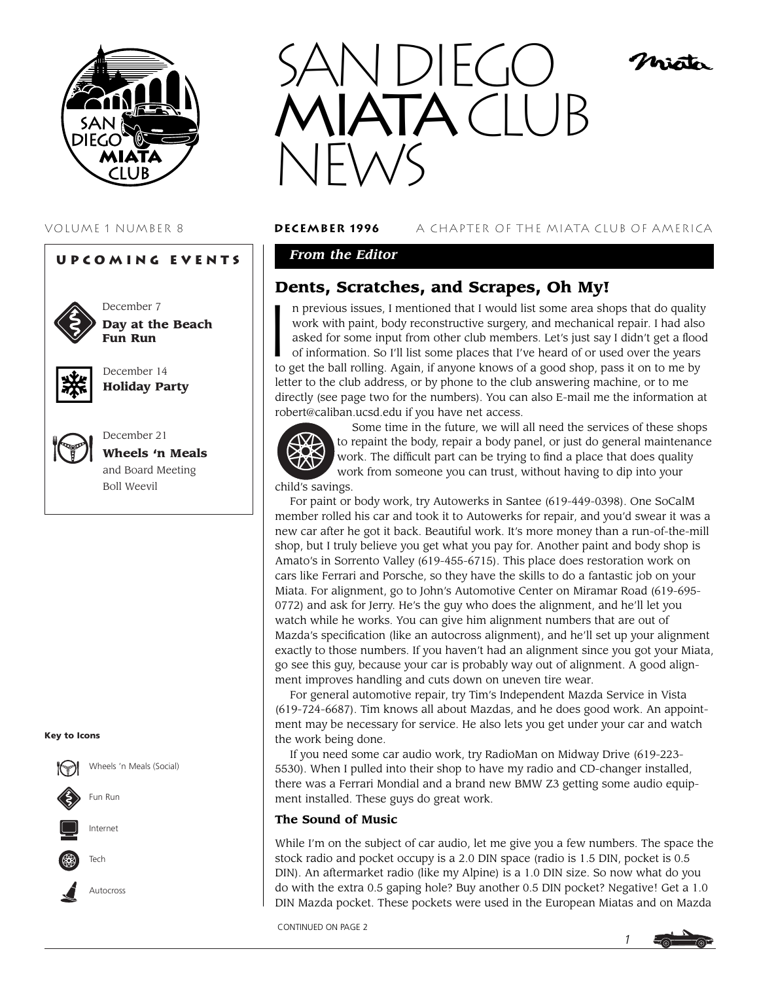

#### **Upcoming Events**



December 7 **Day at the Beach Fun Run**



December 14 **Holiday Party**



December 21 **Wheels 'n Meals** and Board Meeting Boll Weevil

#### **Key to Icons**





VOLUME 1 NUMBER 8 **december 1996** A CHAPTER OF THE MIATA CLUB OF AMERICA

histo

# *From the Editor*

# **Dents, Scratches, and Scrapes, Oh My!**

 $\begin{bmatrix} 1 \\ 1 \end{bmatrix}$ n previous issues, I mentioned that I would list some area shops that do quality work with paint, body reconstructive surgery, and mechanical repair. I had also asked for some input from other club members. Let's just say I didn't get a flood of information. So I'll list some places that I've heard of or used over the years to get the ball rolling. Again, if anyone knows of a good shop, pass it on to me by letter to the club address, or by phone to the club answering machine, or to me directly (see page two for the numbers). You can also E-mail me the information at robert@caliban.ucsd.edu if you have net access.



Some time in the future, we will all need the services of these shops to repaint the body, repair a body panel, or just do general maintenance work. The difficult part can be trying to find a place that does quality work from someone you can trust, without having to dip into your

child's savings.

For paint or body work, try Autowerks in Santee (619-449-0398). One SoCalM member rolled his car and took it to Autowerks for repair, and you'd swear it was a new car after he got it back. Beautiful work. It's more money than a run-of-the-mill shop, but I truly believe you get what you pay for. Another paint and body shop is Amato's in Sorrento Valley (619-455-6715). This place does restoration work on cars like Ferrari and Porsche, so they have the skills to do a fantastic job on your Miata. For alignment, go to John's Automotive Center on Miramar Road (619-695- 0772) and ask for Jerry. He's the guy who does the alignment, and he'll let you watch while he works. You can give him alignment numbers that are out of Mazda's specification (like an autocross alignment), and he'll set up your alignment exactly to those numbers. If you haven't had an alignment since you got your Miata, go see this guy, because your car is probably way out of alignment. A good alignment improves handling and cuts down on uneven tire wear.

For general automotive repair, try Tim's Independent Mazda Service in Vista (619-724-6687). Tim knows all about Mazdas, and he does good work. An appointment may be necessary for service. He also lets you get under your car and watch the work being done.

If you need some car audio work, try RadioMan on Midway Drive (619-223- 5530). When I pulled into their shop to have my radio and CD-changer installed, there was a Ferrari Mondial and a brand new BMW Z3 getting some audio equipment installed. These guys do great work.

#### **The Sound of Music**

While I'm on the subject of car audio, let me give you a few numbers. The space the stock radio and pocket occupy is a 2.0 DIN space (radio is 1.5 DIN, pocket is 0.5 DIN). An aftermarket radio (like my Alpine) is a 1.0 DIN size. So now what do you do with the extra 0.5 gaping hole? Buy another 0.5 DIN pocket? Negative! Get a 1.0 DIN Mazda pocket. These pockets were used in the European Miatas and on Mazda

CONTINUED ON PAGE 2

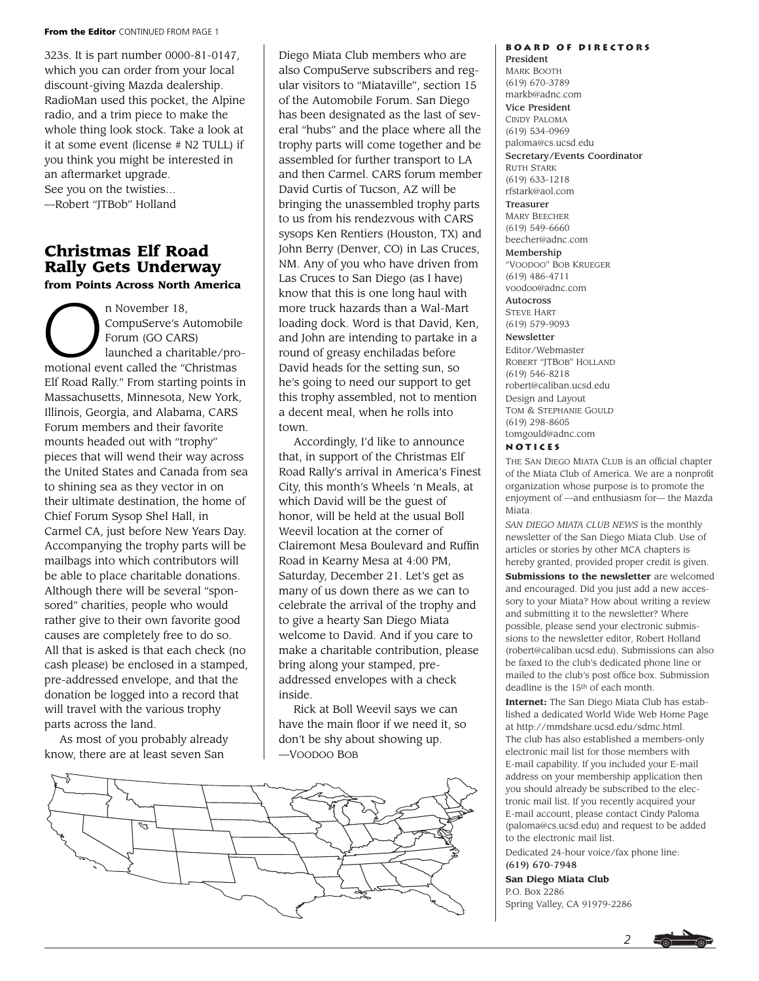#### **From the Editor** CONTINUED FROM PAGE 1

323s. It is part number 0000-81-0147, which you can order from your local discount-giving Mazda dealership. RadioMan used this pocket, the Alpine radio, and a trim piece to make the whole thing look stock. Take a look at it at some event (license # N2 TULL) if you think you might be interested in an aftermarket upgrade. See you on the twisties…

—Robert "JTBob" Holland

# **Christmas Elf Road Rally Gets Underway from Points Across North America**

From Points Across North<br>
n November 18,<br>
CompuServe's A<br>
Forum (GO CAR<br>
launched a char CompuServe's Automobile Forum (GO CARS) launched a charitable/promotional event called the "Christmas Elf Road Rally." From starting points in Massachusetts, Minnesota, New York, Illinois, Georgia, and Alabama, CARS Forum members and their favorite mounts headed out with "trophy" pieces that will wend their way across the United States and Canada from sea to shining sea as they vector in on their ultimate destination, the home of Chief Forum Sysop Shel Hall, in Carmel CA, just before New Years Day. Accompanying the trophy parts will be mailbags into which contributors will be able to place charitable donations. Although there will be several "sponsored" charities, people who would rather give to their own favorite good causes are completely free to do so. All that is asked is that each check (no cash please) be enclosed in a stamped, pre-addressed envelope, and that the donation be logged into a record that will travel with the various trophy parts across the land.

As most of you probably already know, there are at least seven San

Diego Miata Club members who are also CompuServe subscribers and regular visitors to "Miataville", section 15 of the Automobile Forum. San Diego has been designated as the last of several "hubs" and the place where all the trophy parts will come together and be assembled for further transport to LA and then Carmel. CARS forum member David Curtis of Tucson, AZ will be bringing the unassembled trophy parts to us from his rendezvous with CARS sysops Ken Rentiers (Houston, TX) and John Berry (Denver, CO) in Las Cruces, NM. Any of you who have driven from Las Cruces to San Diego (as I have) know that this is one long haul with more truck hazards than a Wal-Mart loading dock. Word is that David, Ken, and John are intending to partake in a round of greasy enchiladas before David heads for the setting sun, so he's going to need our support to get this trophy assembled, not to mention a decent meal, when he rolls into town.

Accordingly, I'd like to announce that, in support of the Christmas Elf Road Rally's arrival in America's Finest City, this month's Wheels 'n Meals, at which David will be the guest of honor, will be held at the usual Boll Weevil location at the corner of Clairemont Mesa Boulevard and Ruffin Road in Kearny Mesa at 4:00 PM, Saturday, December 21. Let's get as many of us down there as we can to celebrate the arrival of the trophy and to give a hearty San Diego Miata welcome to David. And if you care to make a charitable contribution, please bring along your stamped, preaddressed envelopes with a check inside.

Rick at Boll Weevil says we can have the main floor if we need it, so don't be shy about showing up. —VOODOO BOB



# **Board of Directors**

President MARK BOOTH (619) 670-3789 markb@adnc.com Vice President CINDY PALOMA (619) 534-0969 paloma@cs.ucsd.edu Secretary/Events Coordinator RUTH STARK (619) 633-1218 rfstark@aol.com Treasurer MARY BEECHER (619) 549-6660 beecher@adnc.com Membership "VOODOO" BOB KRUEGER (619) 486-4711 voodoo@adnc.com Autocross STEVE HART (619) 579-9093 Newsletter Editor/Webmaster ROBERT "JTBOB" HOLLAND (619) 546-8218 robert@caliban.ucsd.edu Design and Layout TOM & STEPHANIE GOULD (619) 298-8605 tomgould@adnc.com

#### **Notices**

THE SAN DIEGO MIATA CLUB is an official chapter of the Miata Club of America. We are a nonprofit organization whose purpose is to promote the enjoyment of —and enthusiasm for— the Mazda Miata.

*SAN DIEGO MIATA CLUB NEWS* is the monthly newsletter of the San Diego Miata Club. Use of articles or stories by other MCA chapters is hereby granted, provided proper credit is given. **Submissions to the newsletter** are welcomed and encouraged. Did you just add a new accessory to your Miata? How about writing a review and submitting it to the newsletter? Where possible, please send your electronic submissions to the newsletter editor, Robert Holland (robert@caliban.ucsd.edu). Submissions can also be faxed to the club's dedicated phone line or mailed to the club's post office box. Submission deadline is the 15th of each month.

**Internet:** The San Diego Miata Club has established a dedicated World Wide Web Home Page at http://mmdshare.ucsd.edu/sdmc.html. The club has also established a members-only electronic mail list for those members with E-mail capability. If you included your E-mail address on your membership application then you should already be subscribed to the electronic mail list. If you recently acquired your E-mail account, please contact Cindy Paloma (paloma@cs.ucsd.edu) and request to be added to the electronic mail list.

Dedicated 24-hour voice/fax phone line: (619) 670-7948

**San Diego Miata Club** P.O. Box 2286 Spring Valley, CA 91979-2286

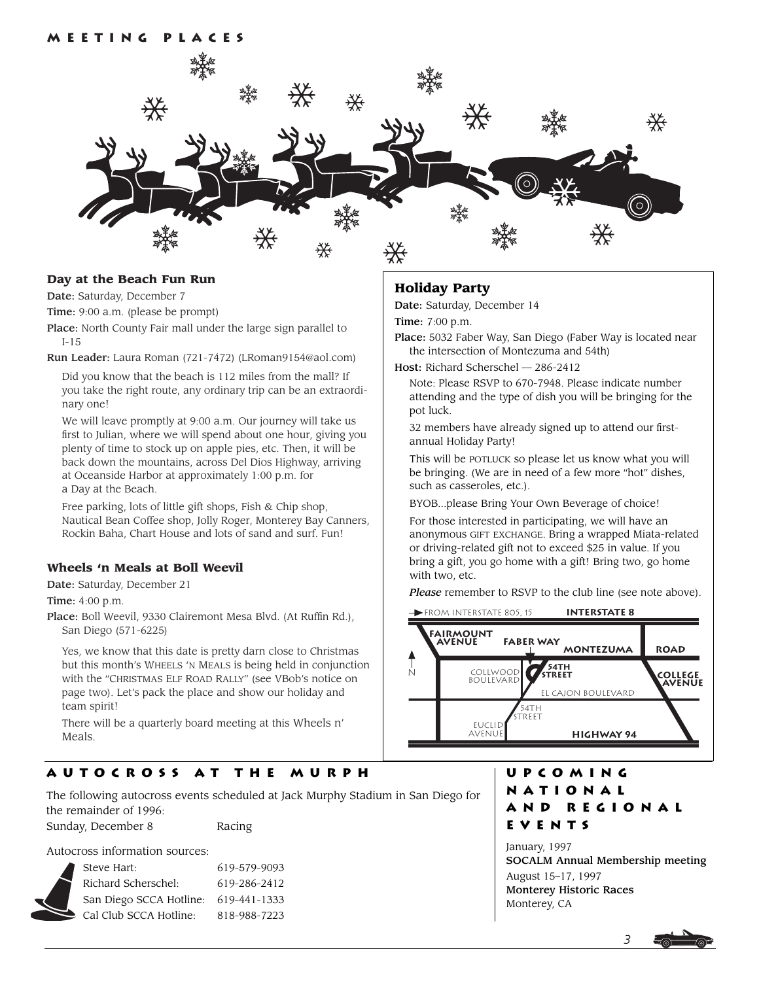

#### **Day at the Beach Fun Run**

Date: Saturday, December 7

Time: 9:00 a.m. (please be prompt)

Place: North County Fair mall under the large sign parallel to I-15

Run Leader: Laura Roman (721-7472) (LRoman9154@aol.com)

Did you know that the beach is 112 miles from the mall? If you take the right route, any ordinary trip can be an extraordinary one!

We will leave promptly at 9:00 a.m. Our journey will take us first to Julian, where we will spend about one hour, giving you plenty of time to stock up on apple pies, etc. Then, it will be back down the mountains, across Del Dios Highway, arriving at Oceanside Harbor at approximately 1:00 p.m. for a Day at the Beach.

Free parking, lots of little gift shops, Fish & Chip shop, Nautical Bean Coffee shop, Jolly Roger, Monterey Bay Canners, Rockin Baha, Chart House and lots of sand and surf. Fun!

#### **Wheels 'n Meals at Boll Weevil**

Date: Saturday, December 21

Time: 4:00 p.m.

Place: Boll Weevil, 9330 Clairemont Mesa Blvd. (At Ruffin Rd.), San Diego (571-6225)

Yes, we know that this date is pretty darn close to Christmas but this month's WHEELS 'N MEALS is being held in conjunction with the "CHRISTMAS ELF ROAD RALLY" (see VBob's notice on page two). Let's pack the place and show our holiday and team spirit!

There will be a quarterly board meeting at this Wheels n' Meals.

# **Autocross at the Murph**

The following autocross events scheduled at Jack Murphy Stadium in San Diego for the remainder of 1996:

Sunday, December 8 Racing

Autocross information sources:

|  | Steve Hart:             | 619-579-9093 |
|--|-------------------------|--------------|
|  | Richard Scherschel:     | 619-286-2412 |
|  | San Diego SCCA Hotline: | 619-441-1333 |
|  | Cal Club SCCA Hotline:  | 818-988-7223 |
|  |                         |              |

## **Holiday Party**

Date: Saturday, December 14

Time: 7:00 p.m.

Place: 5032 Faber Way, San Diego (Faber Way is located near the intersection of Montezuma and 54th)

Host: Richard Scherschel — 286-2412

Note: Please RSVP to 670-7948. Please indicate number attending and the type of dish you will be bringing for the pot luck.

32 members have already signed up to attend our firstannual Holiday Party!

This will be POTLUCK so please let us know what you will be bringing. (We are in need of a few more "hot" dishes, such as casseroles, etc.).

BYOB...please Bring Your Own Beverage of choice!

For those interested in participating, we will have an anonymous GIFT EXCHANGE. Bring a wrapped Miata-related or driving-related gift not to exceed \$25 in value. If you bring a gift, you go home with a gift! Bring two, go home with two, etc.

*Please* remember to RSVP to the club line (see note above).



# **Upcoming National and Regional Events**

January, 1997 SOCALM Annual Membership meeting August 15–17, 1997 Monterey Historic Races Monterey, CA

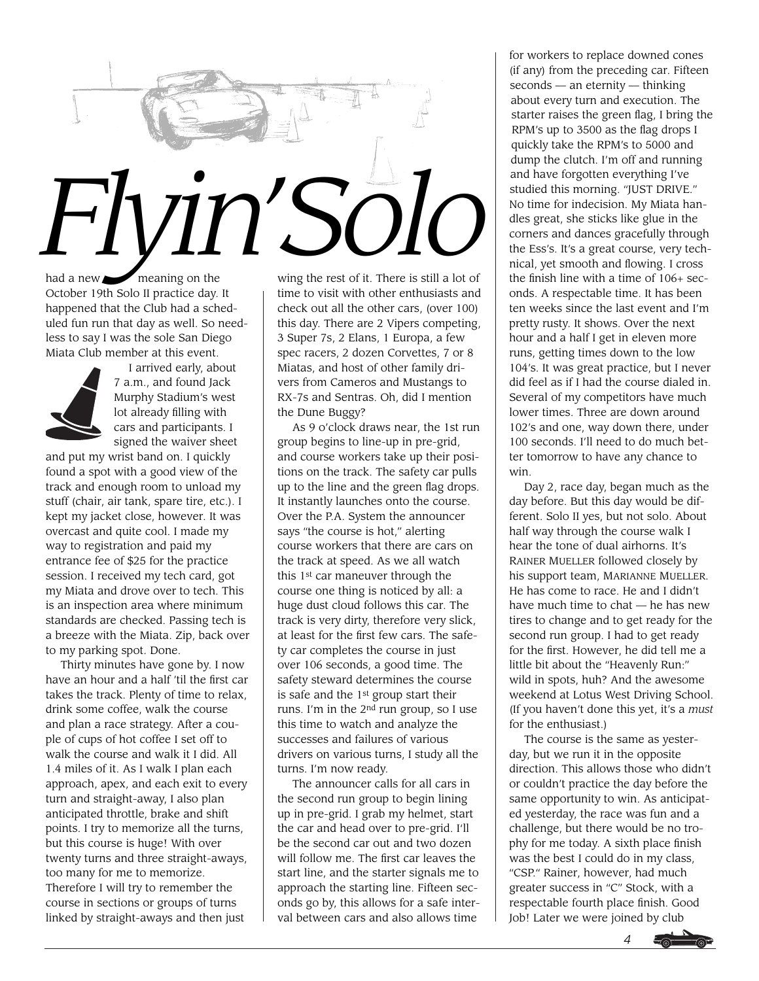

had a new **meaning** on the October 19th Solo II practice day. It happened that the Club had a scheduled fun run that day as well. So needless to say I was the sole San Diego Miata Club member at this event.



I arrived early, about 7 a.m., and found Jack Murphy Stadium's west lot already filling with cars and participants. I signed the waiver sheet

and put my wrist band on. I quickly found a spot with a good view of the track and enough room to unload my stuff (chair, air tank, spare tire, etc.). I kept my jacket close, however. It was overcast and quite cool. I made my way to registration and paid my entrance fee of \$25 for the practice session. I received my tech card, got my Miata and drove over to tech. This is an inspection area where minimum standards are checked. Passing tech is a breeze with the Miata. Zip, back over to my parking spot. Done.

Thirty minutes have gone by. I now have an hour and a half 'til the first car takes the track. Plenty of time to relax, drink some coffee, walk the course and plan a race strategy. After a couple of cups of hot coffee I set off to walk the course and walk it I did. All 1.4 miles of it. As I walk I plan each approach, apex, and each exit to every turn and straight-away, I also plan anticipated throttle, brake and shift points. I try to memorize all the turns, but this course is huge! With over twenty turns and three straight-aways, too many for me to memorize. Therefore I will try to remember the course in sections or groups of turns linked by straight-aways and then just

wing the rest of it. There is still a lot of time to visit with other enthusiasts and check out all the other cars, (over 100) this day. There are 2 Vipers competing, 3 Super 7s, 2 Elans, 1 Europa, a few spec racers, 2 dozen Corvettes, 7 or 8 Miatas, and host of other family drivers from Cameros and Mustangs to RX-7s and Sentras. Oh, did I mention the Dune Buggy?

As 9 o'clock draws near, the 1st run group begins to line-up in pre-grid, and course workers take up their positions on the track. The safety car pulls up to the line and the green flag drops. It instantly launches onto the course. Over the P.A. System the announcer says "the course is hot," alerting course workers that there are cars on the track at speed. As we all watch this 1st car maneuver through the course one thing is noticed by all: a huge dust cloud follows this car. The track is very dirty, therefore very slick, at least for the first few cars. The safety car completes the course in just over 106 seconds, a good time. The safety steward determines the course is safe and the 1st group start their runs. I'm in the 2nd run group, so I use this time to watch and analyze the successes and failures of various drivers on various turns, I study all the turns. I'm now ready.

The announcer calls for all cars in the second run group to begin lining up in pre-grid. I grab my helmet, start the car and head over to pre-grid. I'll be the second car out and two dozen will follow me. The first car leaves the start line, and the starter signals me to approach the starting line. Fifteen seconds go by, this allows for a safe interval between cars and also allows time

for workers to replace downed cones (if any) from the preceding car. Fifteen seconds — an eternity — thinking about every turn and execution. The starter raises the green flag, I bring the RPM's up to 3500 as the flag drops I quickly take the RPM's to 5000 and dump the clutch. I'm off and running and have forgotten everything I've studied this morning. "JUST DRIVE." No time for indecision. My Miata handles great, she sticks like glue in the corners and dances gracefully through the Ess's. It's a great course, very technical, yet smooth and flowing. I cross the finish line with a time of 106+ seconds. A respectable time. It has been ten weeks since the last event and I'm pretty rusty. It shows. Over the next hour and a half I get in eleven more runs, getting times down to the low 104's. It was great practice, but I never did feel as if I had the course dialed in. Several of my competitors have much lower times. Three are down around 102's and one, way down there, under 100 seconds. I'll need to do much better tomorrow to have any chance to win.

Day 2, race day, began much as the day before. But this day would be different. Solo II yes, but not solo. About half way through the course walk I hear the tone of dual airhorns. It's RAINER MUELLER followed closely by his support team, MARIANNE MUELLER. He has come to race. He and I didn't have much time to chat — he has new tires to change and to get ready for the second run group. I had to get ready for the first. However, he did tell me a little bit about the "Heavenly Run:" wild in spots, huh? And the awesome weekend at Lotus West Driving School. (If you haven't done this yet, it's a *must* for the enthusiast.)

The course is the same as yesterday, but we run it in the opposite direction. This allows those who didn't or couldn't practice the day before the same opportunity to win. As anticipated yesterday, the race was fun and a challenge, but there would be no trophy for me today. A sixth place finish was the best I could do in my class, "CSP." Rainer, however, had much greater success in "C" Stock, with a respectable fourth place finish. Good Job! Later we were joined by club

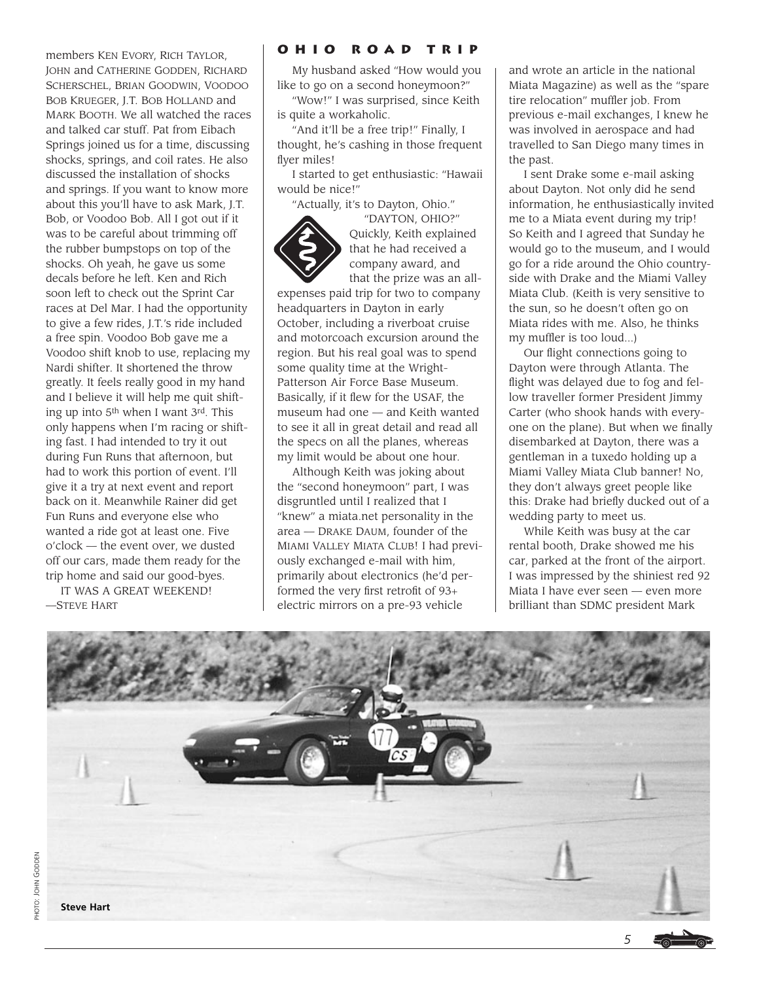members KEN EVORY, RICH TAYLOR, JOHN and CATHERINE GODDEN, RICHARD SCHERSCHEL, BRIAN GOODWIN, VOODOO BOB KRUEGER, J.T. BOB HOLLAND and MARK BOOTH. We all watched the races and talked car stuff. Pat from Eibach Springs joined us for a time, discussing shocks, springs, and coil rates. He also discussed the installation of shocks and springs. If you want to know more about this you'll have to ask Mark, J.T. Bob, or Voodoo Bob. All I got out if it was to be careful about trimming off the rubber bumpstops on top of the shocks. Oh yeah, he gave us some decals before he left. Ken and Rich soon left to check out the Sprint Car races at Del Mar. I had the opportunity to give a few rides, J.T.'s ride included a free spin. Voodoo Bob gave me a Voodoo shift knob to use, replacing my Nardi shifter. It shortened the throw greatly. It feels really good in my hand and I believe it will help me quit shifting up into 5th when I want 3rd. This only happens when I'm racing or shifting fast. I had intended to try it out during Fun Runs that afternoon, but had to work this portion of event. I'll give it a try at next event and report back on it. Meanwhile Rainer did get Fun Runs and everyone else who wanted a ride got at least one. Five o'clock — the event over, we dusted off our cars, made them ready for the trip home and said our good-byes.

IT WAS A GREAT WEEKEND! —STEVE HART

# **Ohio Road Trip**

My husband asked "How would you like to go on a second honeymoon?"

"Wow!" I was surprised, since Keith is quite a workaholic.

"And it'll be a free trip!" Finally, I thought, he's cashing in those frequent flyer miles!

I started to get enthusiastic: "Hawaii would be nice!"

"Actually, it's to Dayton, Ohio."



"DAYTON, OHIO?" Quickly, Keith explained that he had received a company award, and that the prize was an all-

expenses paid trip for two to company headquarters in Dayton in early October, including a riverboat cruise and motorcoach excursion around the region. But his real goal was to spend some quality time at the Wright-Patterson Air Force Base Museum. Basically, if it flew for the USAF, the museum had one — and Keith wanted to see it all in great detail and read all the specs on all the planes, whereas my limit would be about one hour.

Although Keith was joking about the "second honeymoon" part, I was disgruntled until I realized that I "knew" a miata.net personality in the area — DRAKE DAUM, founder of the MIAMI VALLEY MIATA CLUB! I had previously exchanged e-mail with him, primarily about electronics (he'd performed the very first retrofit of 93+ electric mirrors on a pre-93 vehicle

and wrote an article in the national Miata Magazine) as well as the "spare tire relocation" muffler job. From previous e-mail exchanges, I knew he was involved in aerospace and had travelled to San Diego many times in the past.

I sent Drake some e-mail asking about Dayton. Not only did he send information, he enthusiastically invited me to a Miata event during my trip! So Keith and I agreed that Sunday he would go to the museum, and I would go for a ride around the Ohio countryside with Drake and the Miami Valley Miata Club. (Keith is very sensitive to the sun, so he doesn't often go on Miata rides with me. Also, he thinks my muffler is too loud...)

Our flight connections going to Dayton were through Atlanta. The flight was delayed due to fog and fellow traveller former President Jimmy Carter (who shook hands with everyone on the plane). But when we finally disembarked at Dayton, there was a gentleman in a tuxedo holding up a Miami Valley Miata Club banner! No, they don't always greet people like this: Drake had briefly ducked out of a wedding party to meet us.

While Keith was busy at the car rental booth, Drake showed me his car, parked at the front of the airport. I was impressed by the shiniest red 92 Miata I have ever seen — even more brilliant than SDMC president Mark



*5*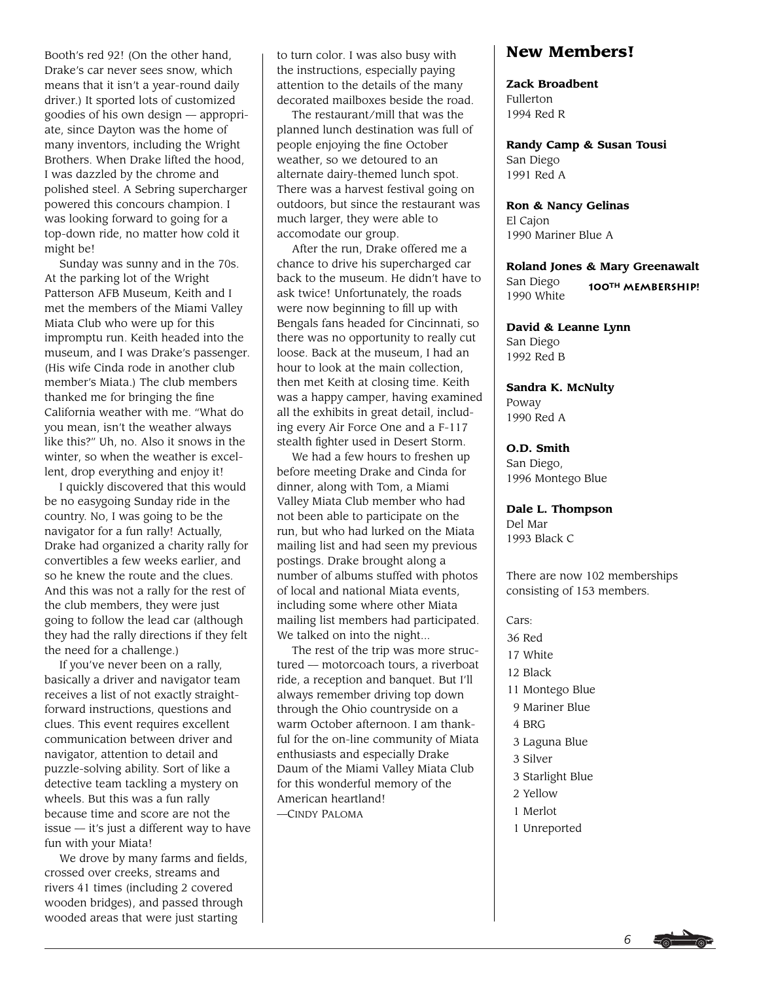Booth's red 92! (On the other hand, Drake's car never sees snow, which means that it isn't a year-round daily driver.) It sported lots of customized goodies of his own design — appropriate, since Dayton was the home of many inventors, including the Wright Brothers. When Drake lifted the hood, I was dazzled by the chrome and polished steel. A Sebring supercharger powered this concours champion. I was looking forward to going for a top-down ride, no matter how cold it might be!

Sunday was sunny and in the 70s. At the parking lot of the Wright Patterson AFB Museum, Keith and I met the members of the Miami Valley Miata Club who were up for this impromptu run. Keith headed into the museum, and I was Drake's passenger. (His wife Cinda rode in another club member's Miata.) The club members thanked me for bringing the fine California weather with me. "What do you mean, isn't the weather always like this?" Uh, no. Also it snows in the winter, so when the weather is excellent, drop everything and enjoy it!

I quickly discovered that this would be no easygoing Sunday ride in the country. No, I was going to be the navigator for a fun rally! Actually, Drake had organized a charity rally for convertibles a few weeks earlier, and so he knew the route and the clues. And this was not a rally for the rest of the club members, they were just going to follow the lead car (although they had the rally directions if they felt the need for a challenge.)

If you've never been on a rally, basically a driver and navigator team receives a list of not exactly straightforward instructions, questions and clues. This event requires excellent communication between driver and navigator, attention to detail and puzzle-solving ability. Sort of like a detective team tackling a mystery on wheels. But this was a fun rally because time and score are not the issue — it's just a different way to have fun with your Miata!

We drove by many farms and fields, crossed over creeks, streams and rivers 41 times (including 2 covered wooden bridges), and passed through wooded areas that were just starting

to turn color. I was also busy with the instructions, especially paying attention to the details of the many decorated mailboxes beside the road.

The restaurant/mill that was the planned lunch destination was full of people enjoying the fine October weather, so we detoured to an alternate dairy-themed lunch spot. There was a harvest festival going on outdoors, but since the restaurant was much larger, they were able to accomodate our group.

After the run, Drake offered me a chance to drive his supercharged car back to the museum. He didn't have to ask twice! Unfortunately, the roads were now beginning to fill up with Bengals fans headed for Cincinnati, so there was no opportunity to really cut loose. Back at the museum, I had an hour to look at the main collection, then met Keith at closing time. Keith was a happy camper, having examined all the exhibits in great detail, including every Air Force One and a F-117 stealth fighter used in Desert Storm.

We had a few hours to freshen up before meeting Drake and Cinda for dinner, along with Tom, a Miami Valley Miata Club member who had not been able to participate on the run, but who had lurked on the Miata mailing list and had seen my previous postings. Drake brought along a number of albums stuffed with photos of local and national Miata events, including some where other Miata mailing list members had participated. We talked on into the night...

The rest of the trip was more structured — motorcoach tours, a riverboat ride, a reception and banquet. But I'll always remember driving top down through the Ohio countryside on a warm October afternoon. I am thankful for the on-line community of Miata enthusiasts and especially Drake Daum of the Miami Valley Miata Club for this wonderful memory of the American heartland! —CINDY PALOMA

# **New Members!**

#### **Zack Broadbent**

Fullerton 1994 Red R

**Randy Camp & Susan Tousi** San Diego 1991 Red A

**Ron & Nancy Gelinas** El Cajon 1990 Mariner Blue A

**Roland Jones & Mary Greenawalt** San Diego **100th Membership!**

1990 White **David & Leanne Lynn**

San Diego 1992 Red B

**Sandra K. McNulty** Poway 1990 Red A

**O.D. Smith** San Diego, 1996 Montego Blue

**Dale L. Thompson** Del Mar 1993 Black C

There are now 102 memberships consisting of 153 members.

Cars: 36 Red 17 White 12 Black 11 Montego Blue 9 Mariner Blue 4 BRG 3 Laguna Blue 3 Silver 3 Starlight Blue 2 Yellow 1 Merlot 1 Unreported

*6*